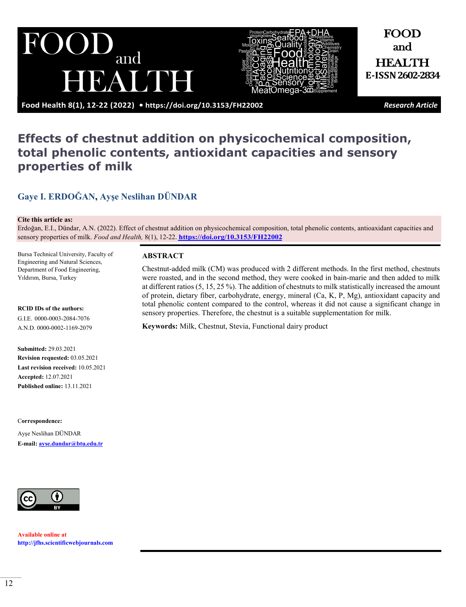UI and HUA MNH



FOOD and HEALTH **E-ISSN 2602-2834**

**Food Health 8(1), 12-22 (2022) •<https://doi.org/10.3153/FH22002>** *Research Article*

# **Effects of chestnut addition on physicochemical composition, total phenolic contents, antioxidant capacities and sensory properties of milk**

## **[Gaye I. ERDOĞAN](https://orcid.org/0000-0003-2084-7076), [Ayşe Neslihan](https://orcid.org/0000-0002-1169-2079) DÜNDAR**

#### **Cite this article as:**

Erdoğan, E.I., Dündar, A.N. (2022). Effect of chestnut addition on physicochemical composition, total phenolic contents, antioaxidant capacities and sensory properties of milk. *Food and Health,* 8(1), 12-22. **[https://doi.org/10.3153/FH2](https://doi.org/10.3153/FH22002)2002**

Bursa Technical University, Faculty of Engineering and Natural Sciences, Department of Food Engineering, Yıldırım, Bursa, Turkey

#### **RCID IDs of the authors:**

G.I.E. 0000-0003-2084-7076 A.N.D. 0000-0002-1169-2079

## **Submitted:** 29.03.2021

**Revision requested:** 03.05.2021 **Last revision received:** 10.05.2021 **Accepted:** 12.07.2021 **Published online:** 13.11.2021

#### C**orrespondence:**

Ayşe Neslihan DÜNDAR **E-mail: [ayse.dundar@btu.edu.tr](mailto:ayse.dundar@btu.edu.tr)**



**Available online at [http://jfhs.scientificwebjournals.com](http://jfhs.scientificwebjournals.com/)**

#### **ABSTRACT**

Chestnut-added milk (CM) was produced with 2 different methods. In the first method, chestnuts were roasted, and in the second method, they were cooked in bain-marie and then added to milk at different ratios (5, 15, 25 %). The addition of chestnuts to milk statistically increased the amount of protein, dietary fiber, carbohydrate, energy, mineral (Ca, K, P, Mg), antioxidant capacity and total phenolic content compared to the control, whereas it did not cause a significant change in sensory properties. Therefore, the chestnut is a suitable supplementation for milk.

**Keywords:** Milk, Chestnut, Stevia, Functional dairy product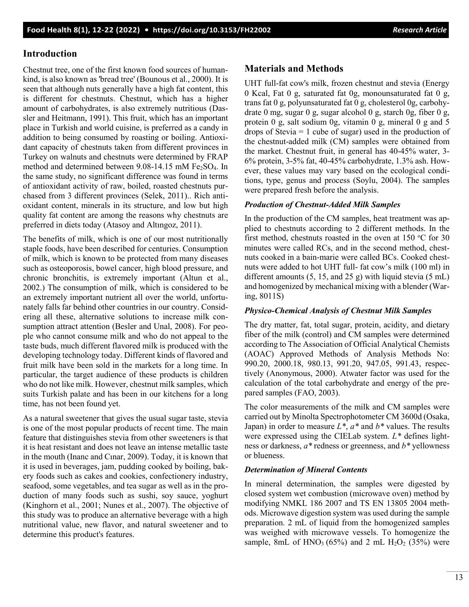## **Introduction**

Chestnut tree, one of the first known food sources of humankind, is also known as 'bread tree' (Bounous et al., 2000). It is seen that although nuts generally have a high fat content, this is different for chestnuts. Chestnut, which has a higher amount of carbohydrates, is also extremely nutritious (Dassler and Heitmann, 1991). This fruit, which has an important place in Turkish and world cuisine, is preferred as a candy in addition to being consumed by roasting or boiling. Antioxidant capacity of chestnuts taken from different provinces in Turkey on walnuts and chestnuts were determined by FRAP method and determined between  $9.08-14.15$  mM  $Fe<sub>2</sub>SO<sub>4</sub>$ . In the same study, no significant difference was found in terms of antioxidant activity of raw, boiled, roasted chestnuts purchased from 3 different provinces (Selek, 2011).. Rich antioxidant content, minerals in its structure, and low but high quality fat content are among the reasons why chestnuts are preferred in diets today (Atasoy and Altıngoz, 2011).

The benefits of milk, which is one of our most nutritionally staple foods, have been described for centuries. Consumption of milk, which is known to be protected from many diseases such as osteoporosis, bowel cancer, high blood pressure, and chronic bronchitis, is extremely important (Altun et al., 2002.) The consumption of milk, which is considered to be an extremely important nutrient all over the world, unfortunately falls far behind other countries in our country. Considering all these, alternative solutions to increase milk consumption attract attention (Besler and Unal, 2008). For people who cannot consume milk and who do not appeal to the taste buds, much different flavored milk is produced with the developing technology today. Different kinds of flavored and fruit milk have been sold in the markets for a long time. In particular, the target audience of these products is children who do not like milk. However, chestnut milk samples, which suits Turkish palate and has been in our kitchens for a long time, has not been found yet.

As a natural sweetener that gives the usual sugar taste, stevia is one of the most popular products of recent time. The main feature that distinguishes stevia from other sweeteners is that it is heat resistant and does not leave an intense metallic taste in the mouth (Inanc and Cınar, 2009). Today, it is known that it is used in beverages, jam, pudding cooked by boiling, bakery foods such as cakes and cookies, confectionery industry, seafood, some vegetables, and tea sugar as well as in the production of many foods such as sushi, soy sauce, yoghurt (Kinghorn et al., 2001; Nunes et al., 2007). The objective of this study was to produce an alternative beverage with a high nutritional value, new flavor, and natural sweetener and to determine this product's features.

## **Materials and Methods**

UHT full-fat cow's milk, frozen chestnut and stevia (Energy 0 Kcal, Fat 0 g, saturated fat 0g, monounsaturated fat 0 g, trans fat 0 g, polyunsaturated fat 0 g, cholesterol 0g, carbohydrate 0 mg, sugar 0 g, sugar alcohol 0 g, starch 0g, fiber 0 g, protein 0 g, salt sodium 0g, vitamin 0 g, mineral 0 g and 5 drops of Stevia  $= 1$  cube of sugar) used in the production of the chestnut-added milk (CM) samples were obtained from the market. Chestnut fruit, in general has 40-45% water, 3- 6% protein, 3-5% fat, 40-45% carbohydrate, 1.3% ash. However, these values may vary based on the ecological conditions, type, genus and process (Soylu, 2004). The samples were prepared fresh before the analysis.

#### *Production of Chestnut-Added Milk Samples*

In the production of the CM samples, heat treatment was applied to chestnuts according to 2 different methods. In the first method, chestnuts roasted in the oven at 150  $^{\circ}$ C for 30 minutes were called RCs, and in the second method, chestnuts cooked in a bain-marie were called BCs. Cooked chestnuts were added to hot UHT full- fat cow's milk (100 ml) in different amounts  $(5, 15, \text{ and } 25 \text{ g})$  with liquid stevia  $(5 \text{ mL})$ and homogenized by mechanical mixing with a blender (Waring, 8011S)

#### *Physico-Chemical Analysis of Chestnut Milk Samples*

The dry matter, fat, total sugar, protein, acidity, and dietary fiber of the milk (control) and CM samples were determined according to The Association of Official Analytical Chemists (AOAC) Approved Methods of Analysis Methods No: 990.20, 2000.18, 980.13, 991.20, 947.05, 991.43, respectively (Anonymous, 2000). Atwater factor was used for the calculation of the total carbohydrate and energy of the prepared samples (FAO, 2003).

The color measurements of the milk and CM samples were carried out by Minolta Spectrophotometer CM 3600d (Osaka, Japan) in order to measure *L\**, *a\** and *b\** values. The results were expressed using the CIELab system. *L\** defines lightness or darkness, *a\** redness or greenness, and *b\** yellowness or blueness.

#### *Determination of Mineral Contents*

In mineral determination, the samples were digested by closed system wet combustion (microwave oven) method by modifying NMKL 186 2007 and TS EN 13805 2004 methods. Microwave digestion system was used during the sample preparation. 2 mL of liquid from the homogenized samples was weighed with microwave vessels. To homogenize the sample, 8mL of HNO<sub>3</sub> (65%) and 2 mL H<sub>2</sub>O<sub>2</sub> (35%) were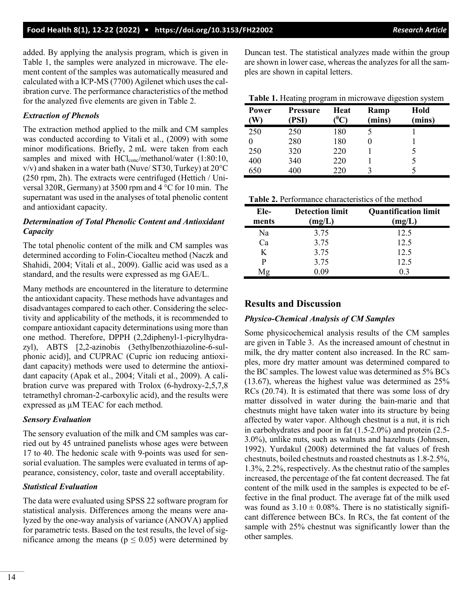added. By applying the analysis program, which is given in Table 1, the samples were analyzed in microwave. The element content of the samples was automatically measured and calculated with a ICP-MS (7700) Agilenet which uses the calibration curve. The performance characteristics of the method for the analyzed five elements are given in Table 2.

### *Extraction of Phenols*

The extraction method applied to the milk and CM samples was conducted according to Vitali et al., (2009) with some minor modifications. Briefly, 2 mL were taken from each samples and mixed with HCl<sub>conc</sub>/methanol/water (1:80:10,  $v/v$ ) and shaken in a water bath (Nuve/ ST30, Turkey) at  $20^{\circ}$ C (250 rpm, 2h). The extracts were centrifuged (Hettich / Universal 320R, Germany) at 3500 rpm and 4 °C for 10 min. The supernatant was used in the analyses of total phenolic content and antioxidant capacity.

## *Determination of Total Phenolic Content and Antioxidant Capacity*

The total phenolic content of the milk and CM samples was determined according to Folin‑Ciocalteu method (Naczk and Shahidi, 2004; Vitali et al., 2009). Gallic acid was used as a standard, and the results were expressed as mg GAE/L.

Many methods are encountered in the literature to determine the antioxidant capacity. These methods have advantages and disadvantages compared to each other. Considering the selectivity and applicability of the methods, it is recommended to compare antioxidant capacity determinations using more than one method. Therefore, DPPH (2,2diphenyl-1-picrylhydrazyl), ABTS [2,2-azinobis (3ethylbenzothiazoline-6-sulphonic acid)], and CUPRAC (Cupric ion reducing antioxidant capacity) methods were used to determine the antioxidant capacity (Apak et al., 2004; Vitali et al., 2009). A calibration curve was prepared with Trolox (6-hydroxy-2,5,7,8 tetramethyl chroman-2-carboxylic acid), and the results were expressed as µM TEAC for each method.

#### *Sensory Evaluation*

The sensory evaluation of the milk and CM samples was carried out by 45 untrained panelists whose ages were between 17 to 40. The hedonic scale with 9-points was used for sensorial evaluation. The samples were evaluated in terms of appearance, consistency, color, taste and overall acceptability.

#### *Statistical Evaluation*

The data were evaluated using SPSS 22 software program for statistical analysis. Differences among the means were analyzed by the one-way analysis of variance (ANOVA) applied for parametric tests. Based on the test results, the level of significance among the means ( $p \le 0.05$ ) were determined by Duncan test. The statistical analyzes made within the group are shown in lower case, whereas the analyzes for all the samples are shown in capital letters.

| Table 1. Heating program in microwave digestion system |  |  |
|--------------------------------------------------------|--|--|
|                                                        |  |  |
|                                                        |  |  |

| Power | <b>Pressure</b><br>(PSI) | Heat | Ramp<br>(mins) | Hold<br>(mins) |
|-------|--------------------------|------|----------------|----------------|
| 250   | 250                      | 180  |                |                |
|       | 280                      | 180  |                |                |
| 250   | 320                      | 220  |                |                |
| 400   | 340                      | 220  |                |                |
| 650   | 400                      | 220  |                |                |

| Table 2. Performance characteristics of the method |
|----------------------------------------------------|
|----------------------------------------------------|

| Ele-<br>ments  | <b>Detection limit</b><br>(mg/L) | <b>Quantification limit</b><br>(mg/L) |
|----------------|----------------------------------|---------------------------------------|
| Na             | 3.75                             | 12.5                                  |
| C <sub>a</sub> | 3.75                             | 12.5                                  |
| K              | 3.75                             | 12.5                                  |
| P              | 3.75                             | 12.5                                  |
| Mg             | 0.09                             | 0.3                                   |

## **Results and Discussion**

## *Physico-Chemical Analysis of CM Samples*

Some physicochemical analysis results of the CM samples are given in Table 3. As the increased amount of chestnut in milk, the dry matter content also increased. In the RC samples, more dry matter amount was determined compared to the BC samples. The lowest value was determined as 5% BCs (13.67), whereas the highest value was determined as 25% RCs (20.74). It is estimated that there was some loss of dry matter dissolved in water during the bain-marie and that chestnuts might have taken water into its structure by being affected by water vapor. Although chestnut is a nut, it is rich in carbohydrates and poor in fat (1.5-2.0%) and protein (2.5- 3.0%), unlike nuts, such as walnuts and hazelnuts (Johnsen, 1992). Yurdakul (2008) determined the fat values of fresh chestnuts, boiled chestnuts and roasted chestnuts as 1.8-2.5%, 1.3%, 2.2%, respectively. As the chestnut ratio of the samples increased, the percentage of the fat content decreased. The fat content of the milk used in the samples is expected to be effective in the final product. The average fat of the milk used was found as  $3.10 \pm 0.08\%$ . There is no statistically significant difference between BCs. In RCs, the fat content of the sample with 25% chestnut was significantly lower than the other samples.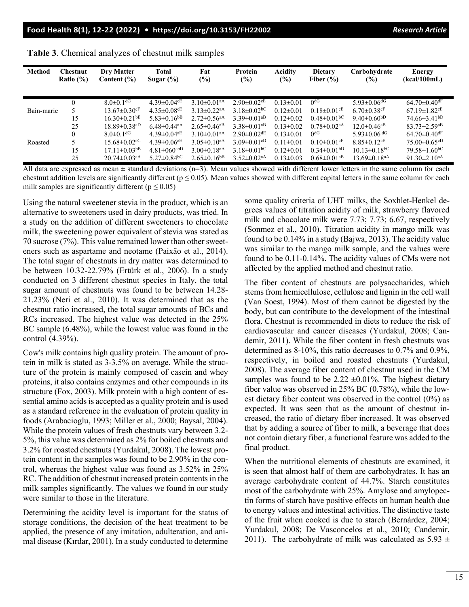| <b>Method</b> | <b>Chestnut</b><br>Ratio $(\% )$ | Dry Matter<br>Content $(\% )$  | Total<br>Sugar $(\% )$        | Fat<br>$(\%)$                 | Protein<br>$(\%)$             | <b>Acidity</b><br>$(\%)$ | <b>Dietary</b><br>Fiber $(\% )$ | Carbohydrate<br>$(\%)$         | Energy<br>(kcal/100mL)         |
|---------------|----------------------------------|--------------------------------|-------------------------------|-------------------------------|-------------------------------|--------------------------|---------------------------------|--------------------------------|--------------------------------|
|               | $\theta$                         | $8.0 \pm 0.1$ <sup>dG</sup>    | $4.39 \pm 0.04$ <sup>cE</sup> | $3.10\pm0.01^{aA}$            | $2.90\pm0.02$ <sup>cE</sup>   | $0.13 \pm 0.01$          | 0 <sup>dG</sup>                 | $5.93 \pm 0.06$ <sup>dG</sup>  | $64.70 \pm 0.40$ <sup>dF</sup> |
| Bain-marie    |                                  | $13.67 \pm 0.30$ <sup>cF</sup> | $4.35 \pm 0.08$ <sup>cE</sup> | $3.13 \pm 0.22$ <sup>aA</sup> | $3.18 \pm 0.02$ <sup>bC</sup> | $0.12 \pm 0.01$          | $0.18 \pm 0.01$ <sup>cE</sup>   | $6.70 \pm 0.38$ cF             | $67.19 \pm 1.82$ <sup>cE</sup> |
|               | 15                               | $16.30\pm0.21$ <sup>bE</sup>   | $5.83 \pm 0.16$ <sup>bB</sup> | $2.72 \pm 0.56$ <sup>aA</sup> | $3.39 \pm 0.01$ <sup>aB</sup> | $0.12 \pm 0.02$          | $0.48 \pm 0.01$ <sub>bC</sub>   | 9.40 $\pm$ 0.60 <sup>bD</sup>  | $74.66\pm3.41^{bD}$            |
|               | 25                               | $18.89 \pm 0.38$ <sup>aD</sup> | $6.48 \pm 0.44$ <sup>aA</sup> | $2.65 \pm 0.46$ <sup>aB</sup> | $3.38 \pm 0.01$ <sup>aB</sup> | $0.13 \pm 0.02$          | $0.78 \pm 0.02$ <sup>aA</sup>   | $12.0 \pm 0.46$ <sup>aB</sup>  | $83.73 \pm 2.59$ <sup>aB</sup> |
|               | $\theta$                         | $8.0 \pm 0.1$ <sup>dG</sup>    | $4.39 \pm 0.04^{\text{aE}}$   | $3.10\pm0.01^{aA}$            | $2.90\pm0.02$ <sup>dE</sup>   | $0.13 \pm 0.01$          | 0 <sub>q</sub>                  | 5.93 $\pm$ 0.06 <sup>dG</sup>  | $64.70 \pm 0.40$ <sup>dF</sup> |
| Roasted       |                                  | $15.68 \pm 0.02$ <sup>cC</sup> | $4.39 \pm 0.06^{\text{aE}}$   | $3.05 \pm 0.10$ <sup>aA</sup> | $3.09 \pm 0.01$ cD            | $0.11 \pm 0.01$          | $0.10 \pm 0.01$ cF              | $8.85 \pm 0.12$ <sup>cE</sup>  | $75.00\pm0.65^{cD}$            |
|               | 15                               | $17.11 \pm 0.03$ <sup>bB</sup> | $4.81 \pm 060$ <sup>abD</sup> | $3.00 \pm 0.18$ <sup>aA</sup> | $3.18 \pm 0.01$ <sup>bC</sup> | $0.12 \pm 0.01$          | $0.34 \pm 0.01$ <sub>bD</sub>   | $10.13 \pm 0.18$ <sup>bC</sup> | $79.58 \pm 1.60^{bC}$          |
|               | 25                               | $20.74 \pm 0.03$ <sup>aA</sup> | $5.27 \pm 0.84$ <sup>bC</sup> | $2.65 \pm 0.16$ <sup>bB</sup> | $3.52 \pm 0.02$ <sup>aA</sup> | $0.13 \pm 0.03$          | $0.68 \pm 0.01$ <sup>aB</sup>   | $13.69 \pm 0.18$ <sup>aA</sup> | 91.30 $\pm$ 2.10 <sup>aA</sup> |

|  | Table 3. Chemical analyzes of chestnut milk samples |  |
|--|-----------------------------------------------------|--|
|  |                                                     |  |

All data are expressed as mean  $\pm$  standard deviations (n=3). Mean values showed with different lower letters in the same column for each chestnut addition levels are significantly different ( $p \le 0.05$ ). Mean values showed with different capital letters in the same column for each milk samples are significantly different ( $p \le 0.05$ )

Using the natural sweetener stevia in the product, which is an alternative to sweeteners used in dairy products, was tried. In a study on the addition of different sweeteners to chocolate milk, the sweetening power equivalent of stevia was stated as 70 sucrose (7%). This value remained lower than other sweeteners such as aspartame and neotame (Paixão et al., 2014). The total sugar of chestnuts in dry matter was determined to be between 10.32-22.79% (Ertürk et al., 2006). In a study conducted on 3 different chestnut species in Italy, the total sugar amount of chestnuts was found to be between 14.28- 21.23% (Neri et al., 2010). It was determined that as the chestnut ratio increased, the total sugar amounts of BCs and RCs increased. The highest value was detected in the 25% BC sample (6.48%), while the lowest value was found in the control (4.39%).

Cow's milk contains high quality protein. The amount of protein in milk is stated as 3-3.5% on average. While the structure of the protein is mainly composed of casein and whey proteins, it also contains enzymes and other compounds in its structure (Fox, 2003). Milk protein with a high content of essential amino acids is accepted as a quality protein and is used as a standard reference in the evaluation of protein quality in foods (Arabacioglu, 1993; Miller et al., 2000; Baysal, 2004). While the protein values of fresh chestnuts vary between 3.2- 5%, this value was determined as 2% for boiled chestnuts and 3.2% for roasted chestnuts (Yurdakul, 2008). The lowest protein content in the samples was found to be 2.90% in the control, whereas the highest value was found as 3.52% in 25% RC. The addition of chestnut increased protein contents in the milk samples significantly. The values we found in our study were similar to those in the literature.

Determining the acidity level is important for the status of storage conditions, the decision of the heat treatment to be applied, the presence of any imitation, adulteration, and animal disease (Kırdar, 2001). In a study conducted to determine some quality criteria of UHT milks, the Soxhlet-Henkel degrees values of titration acidity of milk, strawberry flavored milk and chocolate milk were 7.73; 7.73; 6.67, respectively (Sonmez et al., 2010). Titration acidity in mango milk was found to be 0.14% in a study (Bajwa, 2013). The acidity value was similar to the mango milk sample, and the values were found to be 0.11-0.14%. The acidity values of CMs were not affected by the applied method and chestnut ratio.

The fiber content of chestnuts are polysaccharides, which stems from hemicellulose, cellulose and lignin in the cell wall (Van Soest, 1994). Most of them cannot be digested by the body, but can contribute to the development of the intestinal flora. Chestnut is recommended in diets to reduce the risk of cardiovascular and cancer diseases (Yurdakul, 2008; Candemir, 2011). While the fiber content in fresh chestnuts was determined as 8-10%, this ratio decreases to 0.7% and 0.9%, respectively, in boiled and roasted chestnuts (Yurdakul, 2008). The average fiber content of chestnut used in the CM samples was found to be 2.22  $\pm$ 0.01%. The highest dietary fiber value was observed in 25% BC (0.78%), while the lowest dietary fiber content was observed in the control (0%) as expected. It was seen that as the amount of chestnut increased, the ratio of dietary fiber increased. It was observed that by adding a source of fiber to milk, a beverage that does not contain dietary fiber, a functional feature was added to the final product.

When the nutritional elements of chestnuts are examined, it is seen that almost half of them are carbohydrates. It has an average carbohydrate content of 44.7%. Starch constitutes most of the carbohydrate with 25%. Amylose and amylopectin forms of starch have positive effects on human health due to energy values and intestinal activities. The distinctive taste of the fruit when cooked is due to starch (Bernárdez, 2004; Yurdakul, 2008; De Vasconcelos et al., 2010; Candemir, 2011). The carbohydrate of milk was calculated as  $5.93 \pm$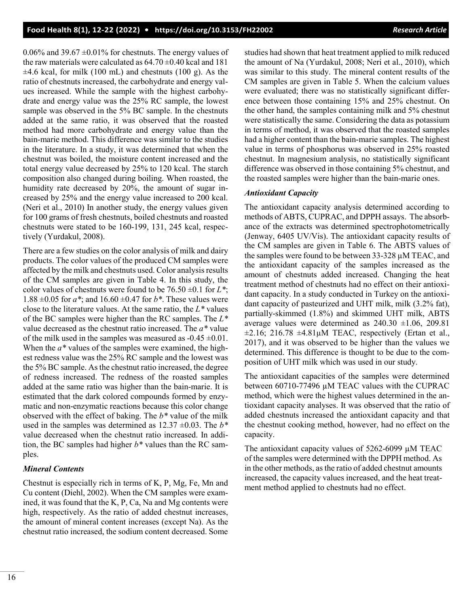0.06% and 39.67  $\pm$ 0.01% for chestnuts. The energy values of the raw materials were calculated as  $64.70 \pm 0.40$  kcal and 181  $\pm 4.6$  kcal, for milk (100 mL) and chestnuts (100 g). As the ratio of chestnuts increased, the carbohydrate and energy values increased. While the sample with the highest carbohydrate and energy value was the 25% RC sample, the lowest sample was observed in the 5% BC sample. In the chestnuts added at the same ratio, it was observed that the roasted method had more carbohydrate and energy value than the bain-marie method. This difference was similar to the studies in the literature. In a study, it was determined that when the chestnut was boiled, the moisture content increased and the total energy value decreased by 25% to 120 kcal. The starch composition also changed during boiling. When roasted, the humidity rate decreased by 20%, the amount of sugar increased by 25% and the energy value increased to 200 kcal. (Neri et al., 2010) In another study, the energy values given for 100 grams of fresh chestnuts, boiled chestnuts and roasted chestnuts were stated to be 160-199, 131, 245 kcal, respectively (Yurdakul, 2008).

There are a few studies on the color analysis of milk and dairy products. The color values of the produced CM samples were affected by the milk and chestnuts used. Color analysis results of the CM samples are given in Table 4. In this study, the color values of chestnuts were found to be  $76.50 \pm 0.1$  for  $L^*$ ; 1.88 ±0.05 for *a\**; and 16.60 ±0.47 for *b\**. These values were close to the literature values. At the same ratio, the *L\** values of the BC samples were higher than the RC samples. The *L\** value decreased as the chestnut ratio increased. The *a\** value of the milk used in the samples was measured as  $-0.45 \pm 0.01$ . When the *a\** values of the samples were examined, the highest redness value was the 25% RC sample and the lowest was the 5% BC sample. As the chestnut ratio increased, the degree of redness increased. The redness of the roasted samples added at the same ratio was higher than the bain-marie. It is estimated that the dark colored compounds formed by enzymatic and non-enzymatic reactions because this color change observed with the effect of baking. The *b\** value of the milk used in the samples was determined as 12.37 ±0.03. The *b\** value decreased when the chestnut ratio increased. In addition, the BC samples had higher *b\** values than the RC samples.

#### *Mineral Contents*

Chestnut is especially rich in terms of K, P, Mg, Fe, Mn and Cu content (Diehl, 2002). When the CM samples were examined, it was found that the K, P, Ca, Na and Mg contents were high, respectively. As the ratio of added chestnut increases, the amount of mineral content increases (except Na). As the chestnut ratio increased, the sodium content decreased. Some studies had shown that heat treatment applied to milk reduced the amount of Na (Yurdakul, 2008; Neri et al., 2010), which was similar to this study. The mineral content results of the CM samples are given in Table 5. When the calcium values were evaluated; there was no statistically significant difference between those containing 15% and 25% chestnut. On the other hand, the samples containing milk and 5% chestnut were statistically the same. Considering the data as potassium in terms of method, it was observed that the roasted samples had a higher content than the bain-marie samples. The highest value in terms of phosphorus was observed in 25% roasted chestnut. In magnesium analysis, no statistically significant difference was observed in those containing 5% chestnut, and the roasted samples were higher than the bain-marie ones.

#### *Antioxidant Capacity*

The antioxidant capacity analysis determined according to methods of ABTS, CUPRAC, and DPPH assays. The absorbance of the extracts was determined spectrophotometrically (Jenway, 6405 UV/Vis). The antioxidant capacity results of the CM samples are given in Table 6. The ABTS values of the samples were found to be between  $33-328 \mu$ M TEAC, and the antioxidant capacity of the samples increased as the amount of chestnuts added increased. Changing the heat treatment method of chestnuts had no effect on their antioxidant capacity. In a study conducted in Turkey on the antioxidant capacity of pasteurized and UHT milk, milk (3.2% fat), partially-skimmed (1.8%) and skimmed UHT milk, ABTS average values were determined as  $240.30 \pm 1.06$ , 209.81  $\pm 2.16$ ; 216.78  $\pm 4.81 \mu$ M TEAC, respectively (Ertan et al., 2017), and it was observed to be higher than the values we determined. This difference is thought to be due to the composition of UHT milk which was used in our study.

The antioxidant capacities of the samples were determined between 60710-77496 µM TEAC values with the CUPRAC method, which were the highest values determined in the antioxidant capacity analyses. It was observed that the ratio of added chestnuts increased the antioxidant capacity and that the chestnut cooking method, however, had no effect on the capacity.

The antioxidant capacity values of 5262-6099  $\mu$ M TEAC of the samples were determined with the DPPH method. As in the other methods, as the ratio of added chestnut amounts increased, the capacity values increased, and the heat treatment method applied to chestnuts had no effect.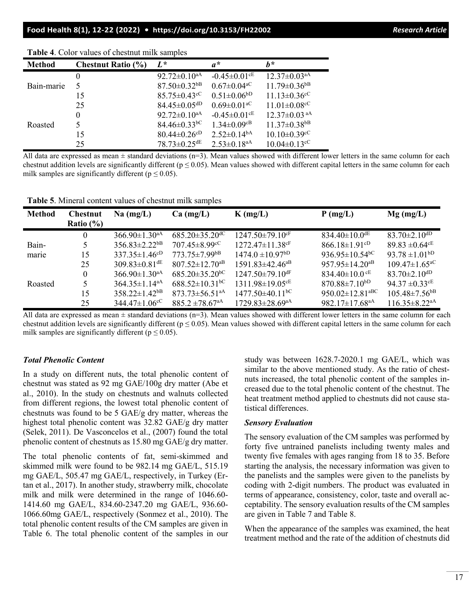| <b>Method</b> | <b>Chestnut Ratio (%)</b> | $L^*$                          | $a^*$                          | h*                             |
|---------------|---------------------------|--------------------------------|--------------------------------|--------------------------------|
|               |                           | $92.72 \pm 0.10^{aA}$          | $-0.45 \pm 0.01$ <sup>cE</sup> | $12.37 \pm 0.03$ <sup>aA</sup> |
| Bain-marie    |                           | $87.50 \pm 0.32$ <sup>bB</sup> | $0.67 \pm 0.04$ <sup>aC</sup>  | $11.79 \pm 0.36$ <sup>bB</sup> |
|               | 15                        | $85.75 \pm 0.43$ <sup>cC</sup> | $0.51 \pm 0.06^{bD}$           | $11.13 \pm 0.36$ <sup>cC</sup> |
|               | 25                        | $84.45 \pm 0.05$ <sup>dD</sup> | $0.69 \pm 0.01$ <sup>aC</sup>  | $11.01 \pm 0.08$ <sup>cC</sup> |
|               | $\Omega$                  | $92.72 \pm 0.10^{aA}$          | $-0.45 \pm 0.01$ <sup>cE</sup> | $12.37 \pm 0.03$ <sup>aA</sup> |
| Roasted       |                           | $84.46 \pm 0.33$ <sup>bC</sup> | $1.34 \pm 0.09$ <sup>cB</sup>  | $11.37 \pm 0.38$ <sup>bB</sup> |
|               | 15                        | $80.44 \pm 0.26$ cD            | $2.52 \pm 0.14^{bA}$           | $10.10 \pm 0.39$ <sup>cC</sup> |
|               | 25                        | $78.73 \pm 0.25$ <sup>dE</sup> | $2.53 \pm 0.18$ <sup>aA</sup>  | $10.04 \pm 0.13$ <sup>cC</sup> |

**Table 4**. Color values of chestnut milk samples

All data are expressed as mean  $\pm$  standard deviations (n=3). Mean values showed with different lower letters in the same column for each chestnut addition levels are significantly different ( $p \le 0.05$ ). Mean values showed with different capital letters in the same column for each milk samples are significantly different ( $p \le 0.05$ ).

**Table 5**. Mineral content values of chestnut milk samples

| <b>Method</b> | <b>Chestnut</b> | $Na$ (mg/L)                     | $Ca$ (mg/L)                      | $K$ (mg/L)                        | $P$ (mg/L)                        | $Mg$ (mg/L)                            |
|---------------|-----------------|---------------------------------|----------------------------------|-----------------------------------|-----------------------------------|----------------------------------------|
|               | Ratio $(\% )$   |                                 |                                  |                                   |                                   |                                        |
|               | $\theta$        | $366.90 \pm 1.30^{\text{aA}}$   | $685.20 \pm 35.20$ <sup>dC</sup> | $1247.50 \pm 79.10$ <sup>cF</sup> | 834.40 $\pm$ 10.0 <sup>dE</sup>   | $83.70 \pm 2.10$ <sup>dD</sup>         |
| Bain-         |                 | $356.83 \pm 2.22$ <sup>bB</sup> | $707.45 \pm 8.99$ <sup>cC</sup>  | $1272.47 \pm 11.38$ cF            | $866.18 \pm 1.91$ <sup>cD</sup>   | 89.83 $\pm$ 0.64 <sup>cE</sup>         |
| marie         | 15              | $337.35 \pm 1.46^{cD}$          | $773.75 \pm 7.99$ <sup>bB</sup>  | $1474.0 \pm 10.97^{\text{bD}}$    | 936.95 $\pm$ 10.54 <sup>bC</sup>  | $93.78 \pm 1.01^{bD}$                  |
|               | 25              | $309.83 \pm 0.81$ <sup>dE</sup> | $807.52 \pm 12.70$ <sup>aB</sup> | $1591.83 \pm 42.46$ <sup>aB</sup> | 957.95 $\pm$ 14.20 <sup>aB</sup>  | $109.47 \pm 1.65^{\circ}$              |
|               | $\Omega$        | $366.90 \pm 1.30^{\text{aA}}$   | $685.20 \pm 35.20^{\rm bC}$      | $1247.50 \pm 79.10$ <sup>dF</sup> | 834.40 $\pm$ 10.0 <sup>cE</sup>   | $83.70 \pm 2.10$ <sup>dD</sup>         |
| Roasted       |                 | $364.35 \pm 1.14$ <sup>aA</sup> | $688.52 \pm 10.31$ <sup>bC</sup> | $1311.98 \pm 19.05$ <sup>cE</sup> | $870.88 \pm 7.10^{bD}$            | 94.37 $\pm$ 0.33 $\text{c}^{\text{E}}$ |
|               | 15              | $358.22 \pm 1.42$ <sup>bB</sup> | $873.73 \pm 56.51$ <sup>aA</sup> | $1477.50\pm40.11$ <sup>bC</sup>   | 950.02 $\pm$ 12.81 <sup>aBC</sup> | $105.48 \pm 7.56$ <sup>bB</sup>        |
|               | 25              | $344.47 \pm 1.06^{\circ}$       | $885.2 \pm 78.67$ <sup>aA</sup>  | $1729.83 \pm 28.69$ <sup>aA</sup> | 982.17 $\pm$ 17.68 <sup>aA</sup>  | $116.35\pm8.22^{aA}$                   |

All data are expressed as mean  $\pm$  standard deviations (n=3). Mean values showed with different lower letters in the same column for each chestnut addition levels are significantly different ( $p \le 0.05$ ). Mean values showed with different capital letters in the same column for each milk samples are significantly different ( $p \le 0.05$ ).

#### *Total Phenolic Content*

In a study on different nuts, the total phenolic content of chestnut was stated as 92 mg GAE/100g dry matter (Abe et al., 2010). In the study on chestnuts and walnuts collected from different regions, the lowest total phenolic content of chestnuts was found to be 5 GAE/g dry matter, whereas the highest total phenolic content was 32.82 GAE/g dry matter (Selek, 2011). De Vasconcelos et al., (2007) found the total phenolic content of chestnuts as 15.80 mg GAE/g dry matter.

The total phenolic contents of fat, semi-skimmed and skimmed milk were found to be 982.14 mg GAE/L, 515.19 mg GAE/L, 505.47 mg GAE/L, respectively, in Turkey (Ertan et al., 2017). In another study, strawberry milk, chocolate milk and milk were determined in the range of 1046.60- 1414.60 mg GAE/L, 834.60-2347.20 mg GAE/L, 936.60- 1066.60mg GAE/L, respectively (Sonmez et al., 2010). The total phenolic content results of the CM samples are given in Table 6. The total phenolic content of the samples in our study was between 1628.7-2020.1 mg GAE/L, which was similar to the above mentioned study. As the ratio of chestnuts increased, the total phenolic content of the samples increased due to the total phenolic content of the chestnut. The heat treatment method applied to chestnuts did not cause statistical differences.

#### *Sensory Evaluation*

The sensory evaluation of the CM samples was performed by forty five untrained panelists including twenty males and twenty five females with ages ranging from 18 to 35. Before starting the analysis, the necessary information was given to the panelists and the samples were given to the panelists by coding with 2-digit numbers. The product was evaluated in terms of appearance, consistency, color, taste and overall acceptability. The sensory evaluation results of the CM samples are given in Table 7 and Table 8.

When the appearance of the samples was examined, the heat treatment method and the rate of the addition of chestnuts did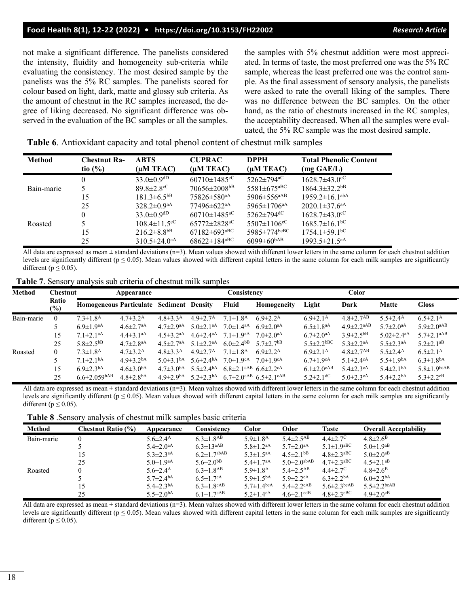#### **Food Health 8(1), 12-22 (2022) • <https://doi.org/10.3153/FH22002>** *Research Article*

not make a significant difference. The panelists considered the intensity, fluidity and homogeneity sub-criteria while evaluating the consistency. The most desired sample by the panelists was the 5% RC samples. The panelists scored for colour based on light, dark, matte and glossy sub criteria. As the amount of chestnut in the RC samples increased, the degree of liking decreased. No significant difference was observed in the evaluation of the BC samples or all the samples.

the samples with 5% chestnut addition were most appreciated. In terms of taste, the most preferred one was the 5% RC sample, whereas the least preferred one was the control sample. As the final assessment of sensory analysis, the panelists were asked to rate the overall liking of the samples. There was no difference between the BC samples. On the other hand, as the ratio of chestnuts increased in the RC samples, the acceptability decreased. When all the samples were evaluated, the 5% RC sample was the most desired sample.

**Table 6**. Antioxidant capacity and total phenol content of chestnut milk samples

| <b>Method</b> | <b>Chestnut Ra-</b><br>tio $(\% )$ | <b>ABTS</b><br>$(\mu M \text{ TEAC})$ | <b>CUPRAC</b><br>$(\mu M \text{ TEAC})$ | <b>DPPH</b><br>$(\mu M \text{ TEAC})$ | <b>Total Phenolic Content</b><br>$(mg \text{ GAE}/L)$ |
|---------------|------------------------------------|---------------------------------------|-----------------------------------------|---------------------------------------|-------------------------------------------------------|
|               | $\theta$                           | $33.0 \pm 0.9$ <sup>dD</sup>          | $60710 \pm 1485$ <sup>cC</sup>          | $5262 \pm 794$ <sup>aC</sup>          | $1628.7 \pm 43.0$ <sup>cC</sup>                       |
| Bain-marie    |                                    | $89.8 \pm 2.8$ <sup>cC</sup>          | 70656±2008 <sup>bB</sup>                | $5581 \pm 675$ <sup>aBC</sup>         | $1864.3 \pm 32.2$ <sup>bB</sup>                       |
|               | 15                                 | $181.3 \pm 6.5$ <sup>bB</sup>         | $75826 \pm 580$ <sup>aA</sup>           | $5906 \pm 556$ <sup>aAB</sup>         | $1959.2 \pm 16.1$ <sup>abA</sup>                      |
|               | 25                                 | $328.2 \pm 0.9$ <sup>aA</sup>         | $77496 \pm 622$ <sup>aA</sup>           | $5965 \pm 1706$ <sup>aA</sup>         | $2020.1 \pm 37.6$ <sup>aA</sup>                       |
|               | $\theta$                           | $33.0 \pm 0.9$ <sup>dD</sup>          | $60710 \pm 1485^{\mathrm{aC}}$          | $5262 \pm 794$ <sup>dC</sup>          | $1628.7\pm43.0^{\circ}$ C                             |
| Roasted       |                                    | $108.4 \pm 11.5^{\circ}$              | $65772 \pm 2828^{\mathrm{aC}}$          | $5507 \pm 1106$ <sup>cC</sup>         | $1685.7 \pm 16.1$ <sup>bC</sup>                       |
|               | 15                                 | $216.2 \pm 8.8$ <sup>bB</sup>         | $67182 \pm 693$ <sup>aBC</sup>          | 5985 $\pm$ 774 $bc$ BC                | $1754.1 \pm 59.1$ <sup>bC</sup>                       |
|               | 25                                 | $310.5 \pm 24.0^{\text{aA}}$          | $68622 \pm 184^{\mathrm{aBC}}$          | 6099 $\pm$ 60 $^{\mathrm{bAB}}$       | $1993.5 \pm 21.5^{aA}$                                |

All data are expressed as mean  $\pm$  standard deviations (n=3). Mean values showed with different lower letters in the same column for each chestnut addition levels are significantly different ( $p \le 0.05$ ). Mean values showed with different capital letters in the same column for each milk samples are significantly different ( $p \leq 0.05$ ).

**Table 7**. Sensory analysis sub criteria of chestnut milk samples

| Method     | <b>Chestnut</b> | Appearance                               |                             |                             | Consistency                                         |                                                                                      |                                                                                       | Color                        |                              |                              |                              |
|------------|-----------------|------------------------------------------|-----------------------------|-----------------------------|-----------------------------------------------------|--------------------------------------------------------------------------------------|---------------------------------------------------------------------------------------|------------------------------|------------------------------|------------------------------|------------------------------|
|            | Ratio<br>$(\%)$ | Homogeneous Particulate Sediment Density |                             |                             |                                                     | Fluid                                                                                | Homogeneity                                                                           | Light                        | Dark                         | <b>Matte</b>                 | <b>Gloss</b>                 |
| Bain-marie | $\theta$        | $7.3 \pm 1.8$ <sup>A</sup>               | $4.7 \pm 3.2^{\rm A}$       | $4.8 \pm 3.3^{\rm A}$       | $4.9 \pm 2.7^{\rm A}$                               | $7.1 \pm 1.8$ <sup>A</sup>                                                           | $6.9 \pm 2.2^{\rm A}$                                                                 | $6.9 \pm 2.1^{\rm A}$        | $4.8 \pm 2.7$ <sup>AB</sup>  | $5.5 \pm 2.4$ <sup>A</sup>   | $6.5 \pm 2.1^{\rm A}$        |
|            |                 | $6.9 \pm 1.9$ <sup>aA</sup>              | $4.6 \pm 2.7$ <sup>aA</sup> | $4.7 \pm 2.9$ <sup>aA</sup> | $5.0\pm2.1$ <sup>aA</sup>                           | $7.0 \pm 1.4$ <sup>aA</sup>                                                          | $6.9 \pm 2.0$ <sup>aA</sup>                                                           | $6.5 \pm 1.8^{\text{aA}}$    | $4.9 \pm 2.2$ <sup>aAB</sup> | $5.7 \pm 2.0$ <sup>aA</sup>  | $5.9 \pm 2.0^{\text{aAB}}$   |
|            | 15              | $7.1 \pm 2.1$ <sup>aA</sup>              | $4.4 \pm 3.1$ <sup>aA</sup> | $4.5 \pm 3.2$ <sup>aA</sup> | $4.6 \pm 2.4$ <sup>aA</sup>                         | $7.1 \pm 1.9$ <sup>aA</sup>                                                          | $7.0 \pm 2.0$ <sup>aA</sup>                                                           | $6.7 \pm 2.0^{\text{aA}}$    | $3.9 \pm 2.5$ <sup>bB</sup>  | 5.02 $\pm$ 2.4 <sup>aA</sup> | $5.7 \pm 2.1$ <sup>aAB</sup> |
|            | 25              | $5.8 \pm 2.5$ <sup>bB</sup>              | $4.7 \pm 2.8$ <sup>aA</sup> | $4.5 \pm 2.7$ <sup>aA</sup> | $5.1 \pm 2.2$ <sup>aA</sup>                         | $6.0 \pm 2.4$ <sup>bB</sup>                                                          | 5.7 $\pm$ 2.7 $b$ B                                                                   | $5.5 \pm 2.2$ bBC            | $5.3 \pm 2.2$ <sup>aA</sup>  | $5.5 \pm 2.3$ <sup>aA</sup>  | $5.2 \pm 2.1$ <sup>aB</sup>  |
| Roasted    | 0               | $7.3 \pm 1.8$ <sup>A</sup>               | $4.7 \pm 3.2^{\rm A}$       | $4.8 \pm 3.3^{\rm A}$       | $4.9 \pm 2.7^{\rm A}$                               | $7.1 \pm 1.8$ <sup>A</sup>                                                           | $6.9 \pm 2.2^{\rm A}$                                                                 | $6.9 \pm 2.1^{\rm A}$        | $4.8 \pm 2.7$ <sup>AB</sup>  | $5.5 \pm 2.4$ <sup>A</sup>   | $6.5 \pm 2.1^{\rm A}$        |
|            |                 | $7.1 \pm 2.1bA$                          | $4.9 \pm 3.2$ <sup>bA</sup> | $5.0 \pm 3.1bA$             | $5.6\pm2.4^{\mathrm{bA}}$ $7.0\pm1.9^{\mathrm{cA}}$ |                                                                                      | 7.0 $\pm$ 1.9 $c$ A                                                                   | $6.7 \pm 1.9$ <sup>cA</sup>  | 5.1 $\pm$ 2.4 $\rm{cA}$      | $5.5 \pm 1.9$ <sup>bA</sup>  | $6.3 \pm 1.8$ <sup>bA</sup>  |
|            | 15              | $6.9 \pm 2.3$ <sup>bA</sup>              | $4.6 \pm 3.0bA$             | $4.7 \pm 3.0$ <sup>bA</sup> |                                                     | 5.5 $\pm$ 2.4 <sup>bA</sup> 6.8 $\pm$ 2.1 <sup>cAB</sup> 6.6 $\pm$ 2.2 <sup>cA</sup> |                                                                                       | $6.1 \pm 2.0$ <sup>cAB</sup> | $5.4 \pm 2.3$ <sup>cA</sup>  | $5.4 \pm 2.1bA$              | $5.8 \pm 1.9$ bcAB           |
|            | 25              | $6.6 \pm 2.059$ bAB                      | $4.8 \pm 2.8$ <sup>bA</sup> | $4.9 \pm 2.9$ <sup>bA</sup> |                                                     |                                                                                      | 5.2 $\pm$ 2.3 <sup>bA</sup> 6.7 $\pm$ 2.0 <sup>cAB</sup> 6.5 $\pm$ 2.1 <sup>cAB</sup> | $5.2 \pm 2.1$ <sup>dC</sup>  | $5.0 \pm 2.3$ <sup>cA</sup>  | $5.4 \pm 2.2$ <sup>bA</sup>  | $5.3 \pm 2.2$ <sup>cB</sup>  |

All data are expressed as mean  $\pm$  standard deviations (n=3). Mean values showed with different lower letters in the same column for each chestnut addition levels are significantly different ( $p \le 0.05$ ). Mean values showed with different capital letters in the same column for each milk samples are significantly different ( $p \leq 0.05$ ).

**Table 8** .Sensory analysis of chestnut milk samples basic criteria

| Method     | <b>Chestnut Ratio (%)</b> | Appearance                  | Consistency                  | Color                        | Odor                          | <b>Taste</b>                 | <b>Overall Acceptability</b>  |
|------------|---------------------------|-----------------------------|------------------------------|------------------------------|-------------------------------|------------------------------|-------------------------------|
| Bain-marie |                           | $5.6 \pm 2.4$ <sup>A</sup>  | $6.3 \pm 1.8$ <sup>AB</sup>  | $5.9 \pm 1.8$ <sup>A</sup>   | $5.4 \pm 2.5$ <sup>AB</sup>   | $4.4 \pm 2.7$ <sup>C</sup>   | $4.8 \pm 2.6^B$               |
|            |                           | $5.4 \pm 2.0$ <sup>aA</sup> | $6.3 \pm 13$ <sup>aAB</sup>  | $5.8 \pm 1.2$ <sup>aA</sup>  | $5.7 \pm 2.0$ <sup>aA</sup>   | $5.1 \pm 1.9$ aBC            | $5.0 \pm 1.9$ <sup>aB</sup>   |
|            | 15                        | $5.3 \pm 2.3$ <sup>aA</sup> | $6.2 \pm 1.7$ abAB           | $5.3 \pm 1.5^{aA}$           | $4.5 \pm 2.1$ <sup>bB</sup>   | $4.8 \pm 2.3$ <sup>aBC</sup> | $5.0 \pm 2.0$ <sup>aB</sup>   |
|            | 25                        | $5.0 \pm 1.9$ <sup>aA</sup> | $5.6 \pm 2.0$ <sup>bB</sup>  | $5.4 \pm 1.7$ <sup>aA</sup>  | $5.0 \pm 2.0$ <sup>abAB</sup> | $4.7 \pm 2.3$ <sup>aBC</sup> | $4.5 \pm 2.1$ <sup>aB</sup>   |
| Roasted    | 0                         | $5.6 \pm 2.4$ <sup>A</sup>  | $6.3 \pm 1.8$ <sup>AB</sup>  | $5.9 \pm 1.8$ <sup>A</sup>   | $5.4 \pm 2.5$ <sup>AB</sup>   | $4.4 \pm 2.7$ <sup>C</sup>   | $4.8 \pm 2.6^B$               |
|            |                           | $5.7 \pm 2.4bA$             | $6.5 \pm 1.7$ <sup>cA</sup>  | $5.9 \pm 1.5^{bA}$           | $5.9 \pm 2.2$ <sup>cA</sup>   | $6.3 \pm 2.2$ <sup>bA</sup>  | $6.0 \pm 2.2$ <sup>bA</sup>   |
|            | 15                        | $5.4 \pm 2.3$ <sup>bA</sup> | $6.3 \pm 1.8$ <sup>cAB</sup> | 5.7 $\pm$ 1.4 <sup>bcA</sup> | $5.4 \pm 2.2$ <sup>cAB</sup>  | $5.6 \pm 2.3$ bcAB           | $5.5 \pm 2.2$ <sub>bcAB</sub> |
|            | 25                        | $5.5 \pm 2.0$ <sup>bA</sup> | $6.1 \pm 1.7$ <sup>cAB</sup> | $5.2 \pm 1.4$ <sup>cA</sup>  | $4.6 \pm 2.1$ <sup>cdB</sup>  | $4.8 \pm 2.3$ <sup>cBC</sup> | $4.9 \pm 2.0$ <sup>cB</sup>   |

All data are expressed as mean  $\pm$  standard deviations (n=3). Mean values showed with different lower letters in the same column for each chestnut addition levels are significantly different ( $p \le 0.05$ ). Mean values showed with different capital letters in the same column for each milk samples are significantly different ( $p \leq 0.05$ ).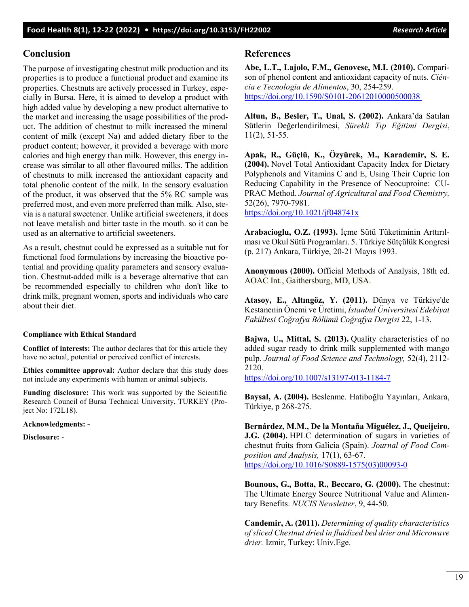## **Conclusion**

The purpose of investigating chestnut milk production and its properties is to produce a functional product and examine its properties. Chestnuts are actively processed in Turkey, especially in Bursa. Here, it is aimed to develop a product with high added value by developing a new product alternative to the market and increasing the usage possibilities of the product. The addition of chestnut to milk increased the mineral content of milk (except Na) and added dietary fiber to the product content; however, it provided a beverage with more calories and high energy than milk. However, this energy increase was similar to all other flavoured milks. The addition of chestnuts to milk increased the antioxidant capacity and total phenolic content of the milk. In the sensory evaluation of the product, it was observed that the 5% RC sample was preferred most, and even more preferred than milk. Also, stevia is a natural sweetener. Unlike artificial sweeteners, it does not leave metalish and bitter taste in the mouth. so it can be used as an alternative to artificial sweeteners.

As a result, chestnut could be expressed as a suitable nut for functional food formulations by increasing the bioactive potential and providing quality parameters and sensory evaluation. Chestnut-added milk is a beverage alternative that can be recommended especially to children who don't like to drink milk, pregnant women, sports and individuals who care about their diet.

#### **Compliance with Ethical Standard**

**Conflict of interests:** The author declares that for this article they have no actual, potential or perceived conflict of interests.

**Ethics committee approval:** Author declare that this study does not include any experiments with human or animal subjects.

**Funding disclosure:** This work was supported by the Scientific Research Council of Bursa Technical University, TURKEY (Project No: 172L18).

**Acknowledgments: -**

**Disclosure:** -

#### **References**

**Abe, L.T., Lajolo, F.M., Genovese, M.I. (2010).** Comparison of phenol content and antioxidant capacity of nuts. *Ciência e Tecnologia de Alimentos*, 30, 254-259. [https://doi.org/10.1590/S0101](https://doi.org/10.1590/S0101-20612010000500038%C2%A0)-20612010000500038

**Altun, B., Besler, T., Unal, S. (2002).** Ankara'da Satılan Sütlerin Değerlendirilmesi, *Sürekli Tıp Eğitimi Dergisi*, 11(2), 51-55.

**Apak, R., Güçlü, K., Özyürek, M., Karademir, S. E. (2004).** Novel Total Antioxidant Capacity Index for Dietary Polyphenols and Vitamins C and E, Using Their Cupric Ion Reducing Capability in the Presence of Neocuproine: CU-PRAC Method. *Journal of Agricultural and Food Chemistry,* 52(26), 7970-7981.

<https://doi.org/10.1021/jf048741x>

**Arabacioglu, O.Z. (1993).** İçme Sütü Tüketiminin Arttırılması ve Okul Sütü Programları. 5. Türkiye Sütçülük Kongresi (p. 217) Ankara, Türkiye, 20-21 Mayıs 1993.

**Anonymous (2000).** Official Methods of Analysis, 18th ed. AOAC Int., Gaithersburg, MD, USA.

**Atasoy, E., Altıngöz, Y. (2011).** Dünya ve Türkiye'de Kestanenin Önemi ve Üretimi, *İstanbul Üniversitesi Edebiyat Fakültesi Coğrafya Bölümü Coğrafya Dergisi* 22, 1-13.

**Bajwa, U., Mittal, S. (2013).** Quality characteristics of no added sugar ready to drink milk supplemented with mango pulp. *Journal of Food Science and Technology,* 52(4), 2112- 2120.

[https://doi.org/10.1007](https://doi.org/10.1007/s13197-013-1184-7)/s13197-013-1184-7

**Baysal, A. (2004).** Beslenme. Hatiboğlu Yayınları, Ankara, Türkiye, p 268-275.

**Bernárdez, M.M., De la Montaña Miguélez, J., Queijeiro, J.G. (2004).** HPLC determination of sugars in varieties of chestnut fruits from Galicia (Spain). *Journal of Food Composition and Analysis,* 17(1), 63-67. [https://doi.org/10.1016/S0889](https://doi.org/10.1016/S0889-1575(03)00093-0)-1575(03)00093-0

**Bounous, G., Botta, R., Beccaro, G. (2000).** The chestnut: The Ultimate Energy Source Nutritional Value and Alimentary Benefits. *NUCIS Newsletter*, 9, 44-50.

**Candemir, A. (2011).** *Determining of quality characteristics of sliced Chestnut dried in fluidized bed drier and Microwave drier.* Izmir, Turkey: Univ.Ege.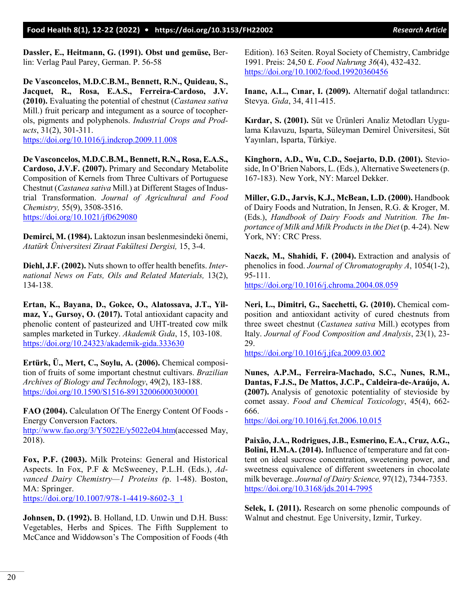**Dassler, E., Heitmann, G. (1991). Obst und gemüse,** Berlin: Verlag Paul Parey, German. P. 56-58

**De Vasconcelos, M.D.C.B.M., Bennett, R.N., Quideau, S., Jacquet, R., Rosa, E.A.S., Ferreira-Cardoso, J.V. (2010).** Evaluating the potential of chestnut (*Castanea sativa*  Mill.) fruit pericarp and integument as a source of tocopherols, pigments and polyphenols. *Industrial Crops and Products*, 31(2), 301-311. <https://doi.org/10.1016/j.indcrop.2009.11.008>

**De Vasconcelos, M.D.C.B.M., Bennett, R.N., Rosa, E.A.S., Cardoso, J.V.F. (2007).** Primary and Secondary Metabolite Composition of Kernels from Three Cultivars of Portuguese Chestnut (*Castanea sativa* Mill.) at Different Stages of Industrial Transformation. *Journal of Agricultural and Food Chemistry,* 55(9), 3508-3516. <https://doi.org/10.1021/jf0629080>

**Demirci, M. (1984).** Laktozun insan beslenmesindeki önemi, *[Atatürk Üniversitesi Ziraat](http://dergipark.org.tr/ataunizfd) Fakültesi Dergisi,* [15, 3](http://dergipark.org.tr/ataunizfd/issue/2996)-4.

**Diehl, J.F. (2002).** Nuts shown to offer health benefits. *International News on Fats, Oils and Related Materials,* 13(2), 134-138.

**Ertan, K., Bayana, D., Gokce, O., Alatossava, J.T., Yilmaz, Y., Gursoy, O. (2017).** Total antioxidant capacity and phenolic content of pasteurized and UHT-treated cow milk samples marketed in Turkey. *Akademik Gıda*, 15, 103-108. [https://doi.org/10.24323/akademik](https://doi.org/10.24323/akademik-gida.333630)-gida.333630

**Ertürk, Ü., Mert, C., Soylu, A. (2006).** Chemical composition of fruits of some important chestnut cultivars. *Brazilian Archives of Biology and Technology*, 49(2), 183-188. [https://doi.org/10.1590/S1516](https://doi.org/10.1590/S1516-89132006000300001)-89132006000300001

**FAO (2004).** Calculatıon Of The Energy Content Of Foods - Energy Conversıon Factors.

[http://www.fao.org/3/Y5022E/y5022e04.htm\(](http://www.fao.org/3/Y5022E/y5022e04.htm)accessed May, 2018).

**Fox, P.F. (2003).** Milk Proteins: General and Historical Aspects. In Fox, P.F & McSweeney, P.L.H. (Eds.), *Advanced Dairy Chemistry—1 Proteins (*p. 1-48). Boston, MA: Springer.

[https://doi.org/10.1007/978](https://doi.org/10.1007/978-1-4419-8602-3_1)-1-4419-8602-3\_1

**Johnsen, D. (1992).** B. Holland, I.D. Unwin und D.H. Buss: Vegetables, Herbs and Spices. The Fifth Supplement to McCance and Widdowson's The Composition of Foods (4th Edition). 163 Seiten. Royal Society of Chemistry, Cambridge 1991. Preis: 24,50 £. *Food Nahrung 36*(4), 432-432. <https://doi.org/10.1002/food.19920360456>

**Inanc, A.L., Cınar, I. (2009).** Alternatif doğal tatlandırıcı: Stevya. *Gıda*, 34, 411-415.

**Kırdar, S. (2001).** Süt ve Ürünleri Analiz Metodları Uygulama Kılavuzu, Isparta, Süleyman Demirel Üniversitesi, Süt Yayınları, Isparta, Türkiye.

**Kinghorn, A.D., Wu, C.D., Soejarto, D.D. (2001).** Stevioside, In O'Brien Nabors, L. (Eds.), Alternative Sweeteners (p. 167-183). New York, NY: Marcel Dekker.

**Miller, G.D., Jarvis, K.J., McBean, L.D. (2000).** Handbook of Dairy Foods and Nutration, In Jensen, R.G. & Kroger, M. (Eds.), *Handbook of Dairy Foods and Nutrition. The Importance of Milk and Milk Products in the Diet* (p. 4-24). New York, NY: CRC Press.

**Naczk, M., Shahidi, F. (2004).** Extraction and analysis of phenolics in food. *Journal of Chromatography A*, 1054(1-2), 95-111.

<https://doi.org/10.1016/j.chroma.2004.08.059>

**Neri, L., Dimitri, G., Sacchetti, G. (2010).** Chemical composition and antioxidant activity of cured chestnuts from three sweet chestnut (*Castanea sativa* Mill.) ecotypes from Italy. *Journal of Food Composition and Analysis*, 23(1), 23- 29.

<https://doi.org/10.1016/j.jfca.2009.03.002>

**Nunes, A.P.M., Ferreira-Machado, S.C., Nunes, R.M., Dantas, F.J.S., De Mattos, J.C.P., Caldeira-de-Araújo, A. (2007).** Analysis of genotoxic potentiality of stevioside by comet assay. *Food and Chemical Toxicology*, 45(4), 662- 666.

<https://doi.org/10.1016/j.fct.2006.10.015>

**Paixão, J.A., Rodrigues, J.B., Esmerino, E.A., Cruz, A.G., Bolini, H.M.A. (2014).** Influence of temperature and fat content on ideal sucrose concentration, sweetening power, and sweetness equivalence of different sweeteners in chocolate milk beverage. *Journal of Dairy Science,* 97(12), 7344-7353. [https://doi.org/10.3168/jds.2014](https://doi.org/10.3168/jds.2014-7995)-7995

**Selek, I. (2011).** Research on some phenolic compounds of Walnut and chestnut. Ege University, Izmir, Turkey.